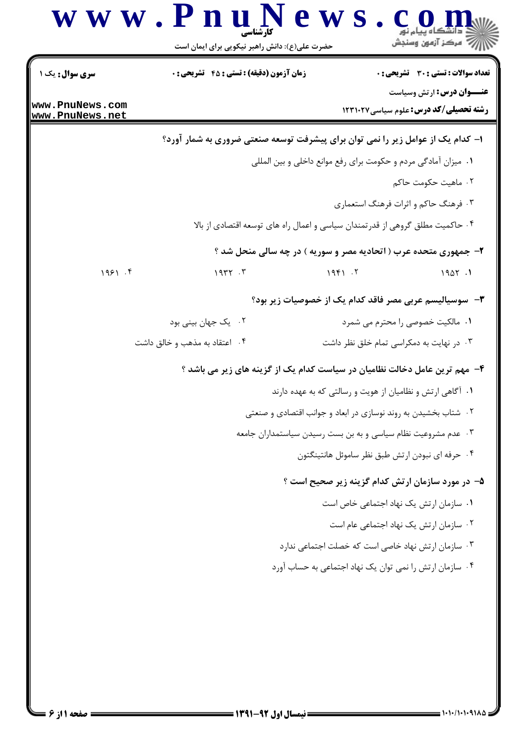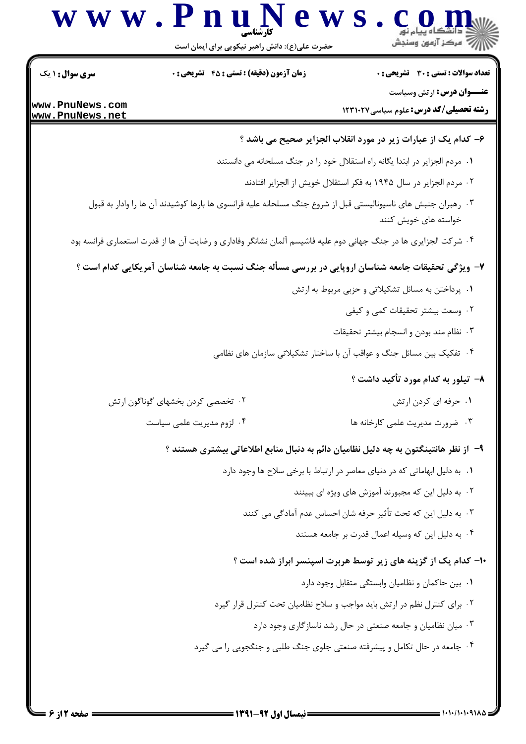

 $= 1.1.11.1.911 \Delta$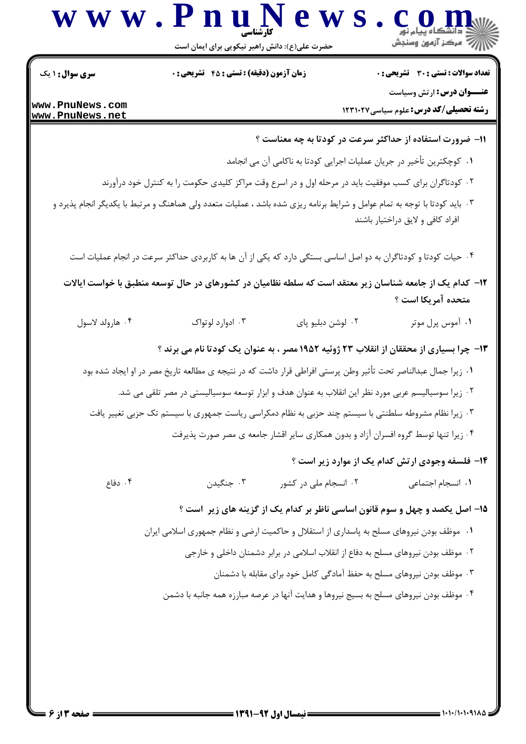

حضرت علی(ع): دانش راهبر نیکویی برای ایمان است

**سری سوال : ۱ یک زمان آزمون (دقیقه) : تستی : 45 گشریحی: 0** تعداد سوالات : تستي : 30 - تشريحي : 0 **عنــوان درس:** ارتش وسیاست www.PnuNews.com **رشته تحصیلی/کد درس: علوم سیاسی1231020** www.PnuNews.net 11- ضرورت استفاده از حداکثر سرعت در کودتا به چه معناست ؟ ٠١. كوچكترين تأخير در جريان عمليات اجرايي كودتا به ناكامي آن مي انجامد ۲ . کودتاگران برای کسب موفقیت باید در مرحله اول و در اسرع وقت مراکز کلیدی حکومت را به کنترل خود درآورند ۰۳ باید کودتا با توجه به تمام عوامل و شرایط برنامه ریزی شده باشد ، عملیات متعدد ولی هماهنگ و مرتبط با یکدیگر انجام پذیرد و افراد كافي و لايق دراختيار باشند ۰۴ حیات کودتا و کودتاگران به دو اصل اساسی بستگی دارد که یکی از آن ها به کاربردی حداکثر سرعت در انجام عملیات است ۱۲– کدام یک از جامعه شناسان زیر معتقد است که سلطه نظامیان در کشورهای در حال توسعه منطبق با خواست ایالات متحده آمريكا است ؟ ۰۱ آموس پرل موتر ۰۴ هارولد لاسول ۰۳ ادوارد لوتواک ۰۲ لوشن دبليو پای ۱۳- چرا بسیاری از محققان از انقلاب ۲۳ ژوئیه ۱۹۵۲ مصر ، به عنوان یک کودتا نام می برند ؟ ٠١ زيرا جمال عبدالناصر تحت تأثير وطن پرستي افراطي قرار داشت كه در نتيجه ي مطالعه تاريخ مصر در او ايجاد شده بود ٢ . زيرا سوسياليسم عربي مورد نظر اين انقلاب به عنوان هدف و ابزار توسعه سوسياليستي در مصر تلقى مي شد. ۰۳ زیرا نظام مشروطه سلطنتی با سیستم چند حزبی به نظام دمکراسی ریاست جمهوری با سیستم تک حزبی تغییر یافت ۰۴ زیرا تنها توسط گروه افسران آزاد و بدون همکاری سایر اقشار جامعه ی مصر صورت پذیرفت ۱۴- فلسفه وجودی ارتش کدام یک از موارد زیر است ؟ ۰۳ جنگیدن ۰۴ دفاع ۰۲ انسجام ملي در کشور ٠١. انسجام اجتماعي ۱۵– اصل یکصد و چهل و سوم قانون اساسی ناظر بر کدام یک از گزینه های زیر است ؟ ۰۱ موظف بودن نیروهای مسلح به پاسداری از استقلال و حاکمیت ارضی و نظام جمهوری اسلامی ایران ۲ . موظف بودن نیروهای مسلح به دفاع از انقلاب اسلامی در برابر دشمنان داخلی و خارجی ۰۳ موظف بودن نیروهای مسلح به حفظ آمادگی کامل خود برای مقابله با دشمنان ۰۴ موظف بودن نیروهای مسلح به بسیج نیروها و هدایت آنها در عرصه مبارزه همه جانبه با دشمن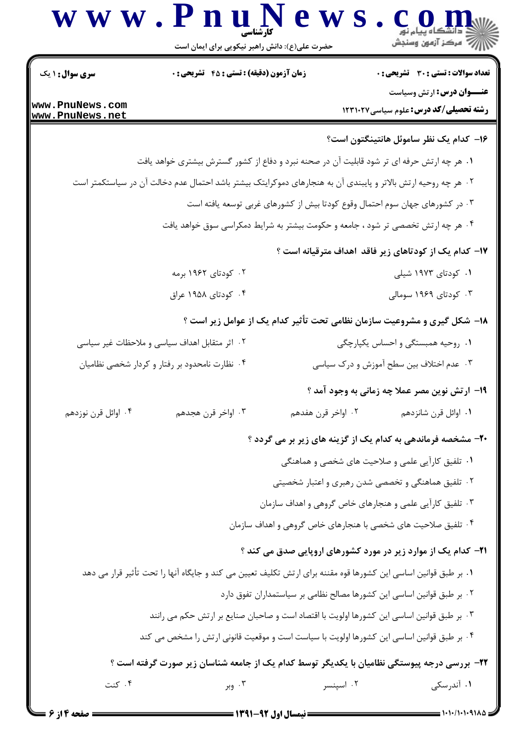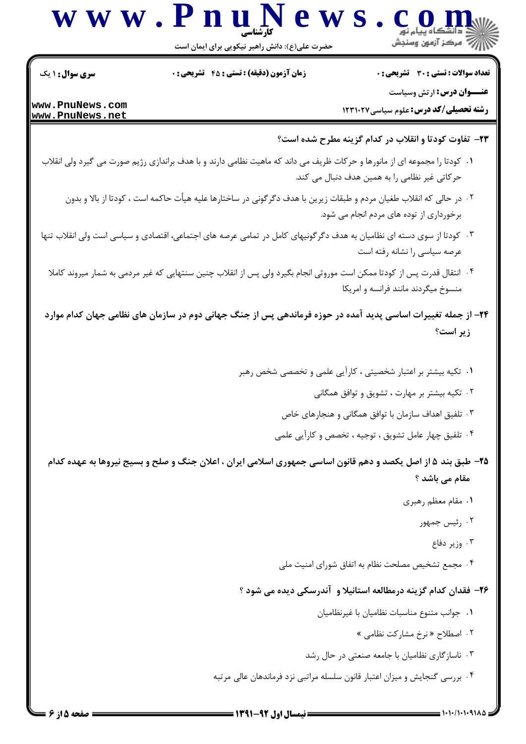

حضرت علی(ع): دانش راهبر نیکویی برای ایمان است

**سری سوال : ۱ یک زمان آزمون (دقیقه) : تستی : 45 تشریحی: 0** تعداد سوالات : تستى : 30 - تشريحي : 0

**عنــوان درس:** ارتش وسیاست

**رشته تحصیلی/کد درس:** علوم سیاسی ۱۲۳۱۰۲۷

www.PnuNews.com www.PnuNews.net

- ٢٣- تفاوت كودتا و انقلاب در كدام گزينه مطرح شده است؟
- ۰۱ کودتا را مجموعه ای از مانورها و حرکات ظریف می داند که ماهیت نظامی دارند و با هدف براندازی رژیم صورت می گیرد ولی انقلاب حرکاتی غیر نظامی را به همین هدف دنبال می کند.
	- ٢ . در حالي كه انقلاب طغيان مردم و طبقات زيرين با هدف دگرگوني در ساختارها عليه هيأت حاكمه است ، كودتا از بالا و بدون برخورداری از توده های مردم انجام می شود.
- ۰۳ کودتا از سوی دسته ای نظامیان به هدف دگر گونیهای کامل در تمامی عرصه های اجتماعی، اقتصادی و سیاسی است ولی انقلاب تنها عرصه سیاسی را نشانه رفته است
	- ۰۴ انتقال قدرت پس از کودتا ممکن است موروثی انجام بگیرد ولی پس از انقلاب چنین سنتهایی که غیر مردمی به شمار میروند کاملا منسوخ میگردند مانند فرانسه و امریکا
- ۲۴– از جمله تغییرات اساسی پدید آمده در حوزه فرماندهی پس از جنگ جهانی دوم در سازمان های نظامی جهان کدام موارد زير است؟
	- ١. تكيه بيشتر بر اعتبار شخصيتي ، كارآيي علمي و تخصصي شخص رهبر
		- ۰۲ تکیه بیشتر بر مهارت ، تشویق و توافق همگانی
		- ۰۳ تلفیق اهداف سازمان با توافق همگانی و هنجارهای خاص
		- ۰۴ تلفیق چهار عامل تشویق ، توجیه ، تخصص و کارآیی علمی
- ۲۵– طبق بند ۵ از اصل یکصد و دهم قانون اساسی جمهوری اسلامی ایران ، اعلان جنگ و صلح و بسیج نیروها به عهده کدام مقام مے باشد ؟
	- ۰۱ مقام معظم رهبری
		- ۰۲ رئیس جمهور
			- ۰۳ وزیر دفاع
	- ۰۴ مجمع تشخیص مصلحت نظام به اتفاق شورای امنیت ملی

## ۲۶- فقدان کدام گزینه درمطالعه استانیلا و آندرسکی دیده می شود ؟

- ٠١. جوانب متنوع مناسبات نظاميان با غيرنظاميان
	- ۰۲ اصطلاح «نرخ مشاركت نظامى »
- ۰۳ ناسازگاری نظامیان با جامعه صنعتی در حال رشد
- ۰۴ بررسی گنجایش و میزان اعتبار قانون سلسله مراتبی نزد فرماندهان عالی مرتبه